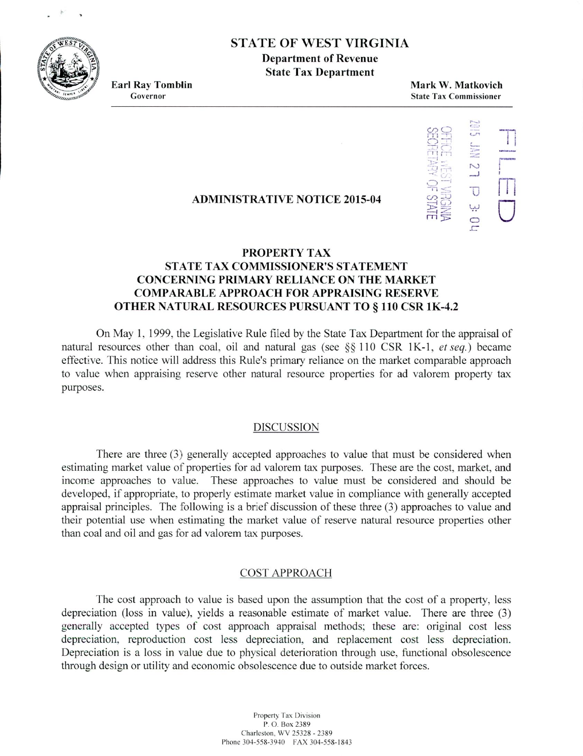**STATE OF WEST VIRGINIA** 

**Department of Revenue State Tax Department**

**Earl Ray Tomblin Mark W. Matkovich Governor State Tax Commissioner**



## **ADMINISTRATIVE NOTICE 2015-04**

# **PROPERTY TAX STATE TAX COMMISSIONER'S STATEMENT CONCERNING PRIMARY RELIANCE ON THE MARKET COMPARABLE APPROACH FOR APPRAISING RESERVE OTHER NATURAL RESOURCES PURSUANT TO** § **110 CSR 1K-4.2**

On May 1. 1999, the Legislative Rule flied by the State Tax Department for the appraisal of natural resources other than coal, oil and natural gas (see  $\S$ § 110 CSR 1K-1, *et seq.*) became effective. This notice will address this Rule's primary reliance on the market comparable approach to value when appraising reserve other natural resource properties for ad valorem property tax purposes.

## DISCUSSION

There are three (3) generally accepted approaches to value that must be considered when estimating market value of properties for ad valorem tax purposes. These are the cost, market, and income approaches to value. These approaches to value must be considered and should be developed, if appropriate, to properly estimate market value in compliance with generally accepted appraisal principles. The 'ollowing is a brief discussion of these three *(3)* approaches to value and their potential use when estimating the market value of reserve natural resource properties other than coal and oil and gas for ad valorem tax purposes.

#### COST APPROACH

The cost approach to value is based upon the assumption that the cost of a property, less depreciation (loss in value), yields a reasonable estimate of market value. There are three (3) generally accepted types of cost approach appraisal methods; these are: original cost less depreciation, reproduction cost less depreciation, and replacement cost less depreciation. Depreciation is a loss in value due to physical deterioration through use, functional obsolescence through design or utility and economic obsolescence due to outside market forces.

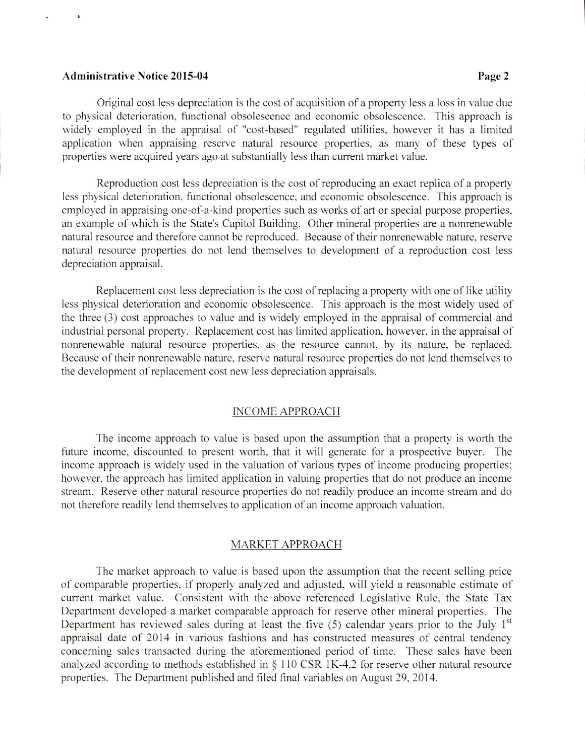### **Administrative Notice 2015-04 Page 2**

Original cost less depreciation is the cost of acquisition of a property less a loss in value due to physical deterioration, functional obsolescence and economic obsolescence. This approach is widely employed in the appraisal of "cost-based' regulated utilities, however it has a limited application when appraising reserve natural resource properties, as many of these types of properties were acquired years ago at substantially less than current market value.

Reproduction cost less depreciation is the cost of reproducing an exact replica of a property less physical deterioration, functional obsolescence, and economic obsolescence. This approach is employed in appraising one-of-a-kind properties such as works of art or special purpose properties. an example of which is the State's Capitol Building. Other mineral properties are a nonrenewable natural resource and therefore cannot he reproduced. Because of their nonrenewable nature. reserve natural resource properties do not lend themselves to development of a reproduction cost less depreciation appraisal.

Replacement cost less depreciation is the cost of replacing a property with one of like utility less physical deterioration and economic obsolescence. This approach is the most widely used of the three (3) cost approaches to value and is widely employed in the appraisal of commercial and industrial personal property. Replacement cost has limited application. however, in the appraisal of nonrenewable natural resource properties. as the resource cannot, by its nature, be replaced. Because of their nonrenewable nature. reserve natural resource properties do not lend themselves to the development of replacement cost new less depreciation appraisals.

#### INCOME APPROACH

The income approach to value is based upon the assumption that a properly is worth the future income, discounted to present worth, that it will generate for a prospective buyer. The income approach is widely used in the valuation of various types of income producing properties; however, the approach has limited application in valuing properties that do not produce an income stream. Reserve other natural resource properties do not readily produce an income stream and do not therefore readily lend themselves to application of an income approach valuation.

#### MARKET APPROACH

The market approach to value is based upon the assumption that the recent selling price of comparable properties, if properly analyzed and adjusted, will yield a reasonable estimate of current market value. Consistent with the above referenced Legislative Rule, the State Tax Department developed a market comparable approach for reserve other mineral properties. The Department has reviewed sales during at least the five  $(5)$  calendar years prior to the July 1<sup>st</sup> appraisal date of 2014 in various fashions and has constructed measures of central tendency concerning sales transacted during the aforementioned period of time. These sales have been analyzed according to methods established in  $\S$  110 CSR 1K-4.2 for reserve other natural resource properties. The Department published and tiled final variables on August 29. 2014.